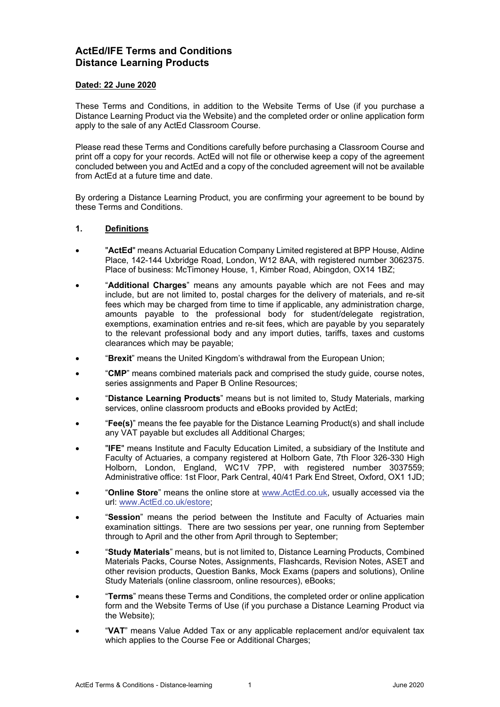# **ActEd/IFE Terms and Conditions Distance Learning Products**

### **Dated: 22 June 2020**

These Terms and Conditions, in addition to the Website Terms of Use (if you purchase a Distance Learning Product via the Website) and the completed order or online application form apply to the sale of any ActEd Classroom Course.

Please read these Terms and Conditions carefully before purchasing a Classroom Course and print off a copy for your records. ActEd will not file or otherwise keep a copy of the agreement concluded between you and ActEd and a copy of the concluded agreement will not be available from ActEd at a future time and date.

By ordering a Distance Learning Product, you are confirming your agreement to be bound by these Terms and Conditions.

### **1. Definitions**

- "**ActEd**" means Actuarial Education Company Limited registered at BPP House, Aldine Place, 142-144 Uxbridge Road, London, W12 8AA, with registered number 3062375. Place of business: McTimoney House, 1, Kimber Road, Abingdon, OX14 1BZ;
- "**Additional Charges**" means any amounts payable which are not Fees and may include, but are not limited to, postal charges for the delivery of materials, and re-sit fees which may be charged from time to time if applicable, any administration charge, amounts payable to the professional body for student/delegate registration, exemptions, examination entries and re-sit fees, which are payable by you separately to the relevant professional body and any import duties, tariffs, taxes and customs clearances which may be payable;
- "**Brexit**" means the United Kingdom's withdrawal from the European Union;
- "**CMP**" means combined materials pack and comprised the study guide, course notes, series assignments and Paper B Online Resources;
- "**Distance Learning Products**" means but is not limited to, Study Materials, marking services, online classroom products and eBooks provided by ActEd;
- "**Fee(s)**" means the fee payable for the Distance Learning Product(s) and shall include any VAT payable but excludes all Additional Charges;
- "**IFE**" means Institute and Faculty Education Limited, a subsidiary of the Institute and Faculty of Actuaries, a company registered at Holborn Gate, 7th Floor 326-330 High Holborn, London, England, WC1V 7PP, with registered number 3037559; Administrative office: 1st Floor, Park Central, 40/41 Park End Street, Oxford, OX1 1JD;
- "**Online Store**" means the online store at www.ActEd.co.uk, usually accessed via the url: www.ActEd.co.uk/estore;
- "**Session**" means the period between the Institute and Faculty of Actuaries main examination sittings. There are two sessions per year, one running from September through to April and the other from April through to September;
- "**Study Materials**" means, but is not limited to, Distance Learning Products, Combined Materials Packs, Course Notes, Assignments, Flashcards, Revision Notes, ASET and other revision products, Question Banks, Mock Exams (papers and solutions), Online Study Materials (online classroom, online resources), eBooks;
- "**Terms**" means these Terms and Conditions, the completed order or online application form and the Website Terms of Use (if you purchase a Distance Learning Product via the Website);
- "**VAT**" means Value Added Tax or any applicable replacement and/or equivalent tax which applies to the Course Fee or Additional Charges;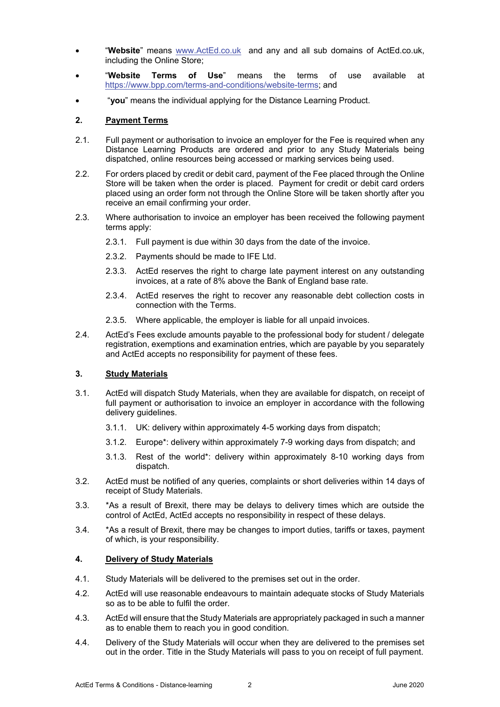- "**Website**" means www.ActEd.co.uk and any and all sub domains of ActEd.co.uk, including the Online Store;
- "**Website Terms of Use**" means the terms of use available at https://www.bpp.com/terms-and-conditions/website-terms; and
- "**you**" means the individual applying for the Distance Learning Product.

### **2. Payment Terms**

- 2.1. Full payment or authorisation to invoice an employer for the Fee is required when any Distance Learning Products are ordered and prior to any Study Materials being dispatched, online resources being accessed or marking services being used.
- 2.2. For orders placed by credit or debit card, payment of the Fee placed through the Online Store will be taken when the order is placed. Payment for credit or debit card orders placed using an order form not through the Online Store will be taken shortly after you receive an email confirming your order.
- 2.3. Where authorisation to invoice an employer has been received the following payment terms apply:
	- 2.3.1. Full payment is due within 30 days from the date of the invoice.
	- 2.3.2. Payments should be made to IFE Ltd.
	- 2.3.3. ActEd reserves the right to charge late payment interest on any outstanding invoices, at a rate of 8% above the Bank of England base rate.
	- 2.3.4. ActEd reserves the right to recover any reasonable debt collection costs in connection with the Terms.
	- 2.3.5. Where applicable, the employer is liable for all unpaid invoices.
- 2.4. ActEd's Fees exclude amounts payable to the professional body for student / delegate registration, exemptions and examination entries, which are payable by you separately and ActEd accepts no responsibility for payment of these fees.

## **3. Study Materials**

- 3.1. ActEd will dispatch Study Materials, when they are available for dispatch, on receipt of full payment or authorisation to invoice an employer in accordance with the following delivery guidelines.
	- 3.1.1. UK: delivery within approximately 4-5 working days from dispatch;
	- 3.1.2. Europe\*: delivery within approximately 7-9 working days from dispatch; and
	- 3.1.3. Rest of the world\*: delivery within approximately 8-10 working days from dispatch.
- 3.2. ActEd must be notified of any queries, complaints or short deliveries within 14 days of receipt of Study Materials.
- 3.3. \*As a result of Brexit, there may be delays to delivery times which are outside the control of ActEd, ActEd accepts no responsibility in respect of these delays.
- 3.4. \*As a result of Brexit, there may be changes to import duties, tariffs or taxes, payment of which, is your responsibility.

#### **4. Delivery of Study Materials**

- 4.1. Study Materials will be delivered to the premises set out in the order.
- 4.2. ActEd will use reasonable endeavours to maintain adequate stocks of Study Materials so as to be able to fulfil the order.
- 4.3. ActEd will ensure that the Study Materials are appropriately packaged in such a manner as to enable them to reach you in good condition.
- 4.4. Delivery of the Study Materials will occur when they are delivered to the premises set out in the order. Title in the Study Materials will pass to you on receipt of full payment.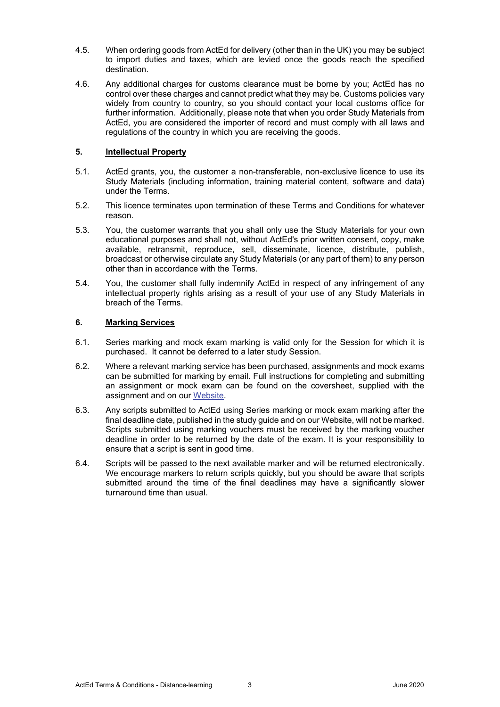- 4.5. When ordering goods from ActEd for delivery (other than in the UK) you may be subject to import duties and taxes, which are levied once the goods reach the specified destination.
- 4.6. Any additional charges for customs clearance must be borne by you; ActEd has no control over these charges and cannot predict what they may be. Customs policies vary widely from country to country, so you should contact your local customs office for further information. Additionally, please note that when you order Study Materials from ActEd, you are considered the importer of record and must comply with all laws and regulations of the country in which you are receiving the goods.

## **5. Intellectual Property**

- 5.1. ActEd grants, you, the customer a non-transferable, non-exclusive licence to use its Study Materials (including information, training material content, software and data) under the Terms.
- 5.2. This licence terminates upon termination of these Terms and Conditions for whatever reason.
- 5.3. You, the customer warrants that you shall only use the Study Materials for your own educational purposes and shall not, without ActEd's prior written consent, copy, make available, retransmit, reproduce, sell, disseminate, licence, distribute, publish, broadcast or otherwise circulate any Study Materials (or any part of them) to any person other than in accordance with the Terms.
- 5.4. You, the customer shall fully indemnify ActEd in respect of any infringement of any intellectual property rights arising as a result of your use of any Study Materials in breach of the Terms.

## **6. Marking Services**

- 6.1. Series marking and mock exam marking is valid only for the Session for which it is purchased. It cannot be deferred to a later study Session.
- 6.2. Where a relevant marking service has been purchased, assignments and mock exams can be submitted for marking by email. Full instructions for completing and submitting an assignment or mock exam can be found on the coversheet, supplied with the assignment and on our Website.
- 6.3. Any scripts submitted to ActEd using Series marking or mock exam marking after the final deadline date, published in the study guide and on our Website, will not be marked. Scripts submitted using marking vouchers must be received by the marking voucher deadline in order to be returned by the date of the exam. It is your responsibility to ensure that a script is sent in good time.
- 6.4. Scripts will be passed to the next available marker and will be returned electronically. We encourage markers to return scripts quickly, but you should be aware that scripts submitted around the time of the final deadlines may have a significantly slower turnaround time than usual.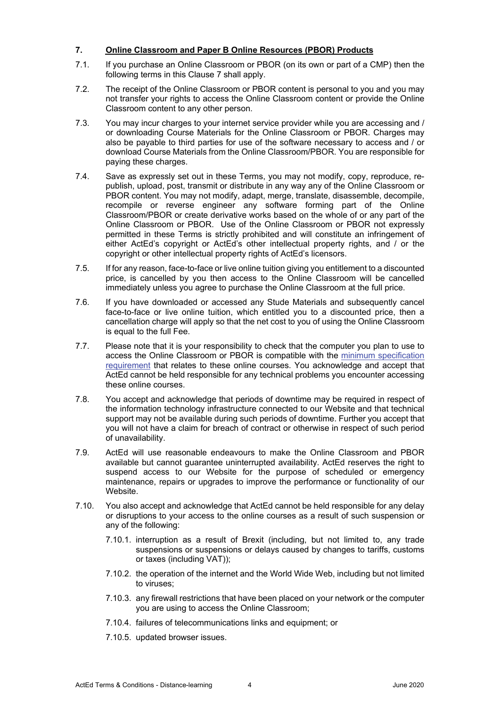## **7. Online Classroom and Paper B Online Resources (PBOR) Products**

- 7.1. If you purchase an Online Classroom or PBOR (on its own or part of a CMP) then the following terms in this Clause 7 shall apply.
- 7.2. The receipt of the Online Classroom or PBOR content is personal to you and you may not transfer your rights to access the Online Classroom content or provide the Online Classroom content to any other person.
- 7.3. You may incur charges to your internet service provider while you are accessing and / or downloading Course Materials for the Online Classroom or PBOR. Charges may also be payable to third parties for use of the software necessary to access and / or download Course Materials from the Online Classroom/PBOR. You are responsible for paying these charges.
- 7.4. Save as expressly set out in these Terms, you may not modify, copy, reproduce, republish, upload, post, transmit or distribute in any way any of the Online Classroom or PBOR content. You may not modify, adapt, merge, translate, disassemble, decompile, recompile or reverse engineer any software forming part of the Online Classroom/PBOR or create derivative works based on the whole of or any part of the Online Classroom or PBOR. Use of the Online Classroom or PBOR not expressly permitted in these Terms is strictly prohibited and will constitute an infringement of either ActEd's copyright or ActEd's other intellectual property rights, and / or the copyright or other intellectual property rights of ActEd's licensors.
- 7.5. If for any reason, face-to-face or live online tuition giving you entitlement to a discounted price, is cancelled by you then access to the Online Classroom will be cancelled immediately unless you agree to purchase the Online Classroom at the full price.
- 7.6. If you have downloaded or accessed any Stude Materials and subsequently cancel face-to-face or live online tuition, which entitled you to a discounted price, then a cancellation charge will apply so that the net cost to you of using the Online Classroom is equal to the full Fee.
- 7.7. Please note that it is your responsibility to check that the computer you plan to use to access the Online Classroom or PBOR is compatible with the minimum specification requirement that relates to these online courses. You acknowledge and accept that ActEd cannot be held responsible for any technical problems you encounter accessing these online courses.
- 7.8. You accept and acknowledge that periods of downtime may be required in respect of the information technology infrastructure connected to our Website and that technical support may not be available during such periods of downtime. Further you accept that you will not have a claim for breach of contract or otherwise in respect of such period of unavailability.
- 7.9. ActEd will use reasonable endeavours to make the Online Classroom and PBOR available but cannot guarantee uninterrupted availability. ActEd reserves the right to suspend access to our Website for the purpose of scheduled or emergency maintenance, repairs or upgrades to improve the performance or functionality of our Website.
- 7.10. You also accept and acknowledge that ActEd cannot be held responsible for any delay or disruptions to your access to the online courses as a result of such suspension or any of the following:
	- 7.10.1. interruption as a result of Brexit (including, but not limited to, any trade suspensions or suspensions or delays caused by changes to tariffs, customs or taxes (including VAT));
	- 7.10.2. the operation of the internet and the World Wide Web, including but not limited to viruses;
	- 7.10.3. any firewall restrictions that have been placed on your network or the computer you are using to access the Online Classroom;
	- 7.10.4. failures of telecommunications links and equipment; or
	- 7.10.5. updated browser issues.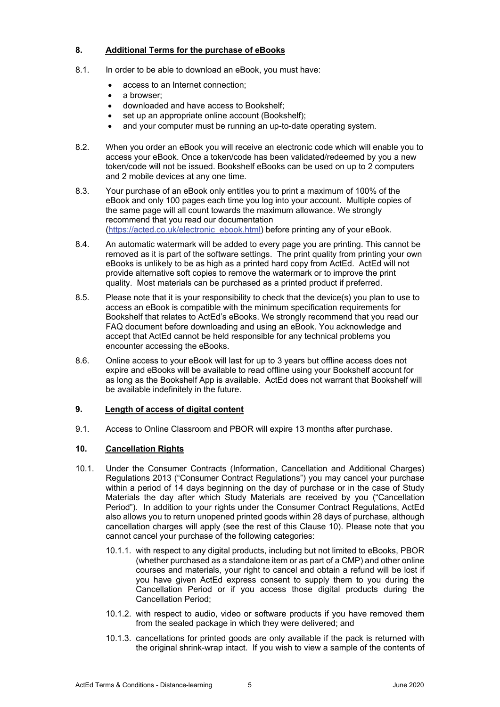## **8. Additional Terms for the purchase of eBooks**

- 8.1. In order to be able to download an eBook, you must have:
	- access to an Internet connection;
	- a browser;
	- downloaded and have access to Bookshelf;
	- set up an appropriate online account (Bookshelf):
	- and your computer must be running an up-to-date operating system.
- 8.2. When you order an eBook you will receive an electronic code which will enable you to access your eBook. Once a token/code has been validated/redeemed by you a new token/code will not be issued. Bookshelf eBooks can be used on up to 2 computers and 2 mobile devices at any one time.
- 8.3. Your purchase of an eBook only entitles you to print a maximum of 100% of the eBook and only 100 pages each time you log into your account. Multiple copies of the same page will all count towards the maximum allowance. We strongly recommend that you read our documentation (https://acted.co.uk/electronic\_ebook.html) before printing any of your eBook.
- 8.4. An automatic watermark will be added to every page you are printing. This cannot be removed as it is part of the software settings. The print quality from printing your own eBooks is unlikely to be as high as a printed hard copy from ActEd. ActEd will not provide alternative soft copies to remove the watermark or to improve the print quality. Most materials can be purchased as a printed product if preferred.
- 8.5. Please note that it is your responsibility to check that the device(s) you plan to use to access an eBook is compatible with the minimum specification requirements for Bookshelf that relates to ActEd's eBooks. We strongly recommend that you read our FAQ document before downloading and using an eBook. You acknowledge and accept that ActEd cannot be held responsible for any technical problems you encounter accessing the eBooks.
- 8.6. Online access to your eBook will last for up to 3 years but offline access does not expire and eBooks will be available to read offline using your Bookshelf account for as long as the Bookshelf App is available. ActEd does not warrant that Bookshelf will be available indefinitely in the future.

## **9. Length of access of digital content**

9.1. Access to Online Classroom and PBOR will expire 13 months after purchase.

## **10. Cancellation Rights**

- 10.1. Under the Consumer Contracts (Information, Cancellation and Additional Charges) Regulations 2013 ("Consumer Contract Regulations") you may cancel your purchase within a period of 14 days beginning on the day of purchase or in the case of Study Materials the day after which Study Materials are received by you ("Cancellation Period"). In addition to your rights under the Consumer Contract Regulations, ActEd also allows you to return unopened printed goods within 28 days of purchase, although cancellation charges will apply (see the rest of this Clause 10). Please note that you cannot cancel your purchase of the following categories:
	- 10.1.1. with respect to any digital products, including but not limited to eBooks, PBOR (whether purchased as a standalone item or as part of a CMP) and other online courses and materials, your right to cancel and obtain a refund will be lost if you have given ActEd express consent to supply them to you during the Cancellation Period or if you access those digital products during the Cancellation Period;
	- 10.1.2. with respect to audio, video or software products if you have removed them from the sealed package in which they were delivered; and
	- 10.1.3. cancellations for printed goods are only available if the pack is returned with the original shrink-wrap intact. If you wish to view a sample of the contents of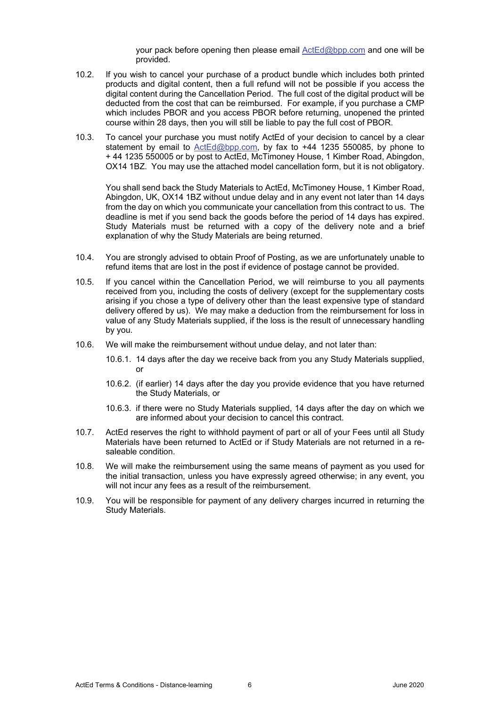your pack before opening then please email ActEd@bpp.com and one will be provided.

- 10.2. If you wish to cancel your purchase of a product bundle which includes both printed products and digital content, then a full refund will not be possible if you access the digital content during the Cancellation Period. The full cost of the digital product will be deducted from the cost that can be reimbursed. For example, if you purchase a CMP which includes PBOR and you access PBOR before returning, unopened the printed course within 28 days, then you will still be liable to pay the full cost of PBOR.
- 10.3. To cancel your purchase you must notify ActEd of your decision to cancel by a clear statement by email to ActEd@bpp.com, by fax to +44 1235 550085, by phone to + 44 1235 550005 or by post to ActEd, McTimoney House, 1 Kimber Road, Abingdon, OX14 1BZ. You may use the attached model cancellation form, but it is not obligatory.

You shall send back the Study Materials to ActEd, McTimoney House, 1 Kimber Road, Abingdon, UK, OX14 1BZ without undue delay and in any event not later than 14 days from the day on which you communicate your cancellation from this contract to us. The deadline is met if you send back the goods before the period of 14 days has expired. Study Materials must be returned with a copy of the delivery note and a brief explanation of why the Study Materials are being returned.

- 10.4. You are strongly advised to obtain Proof of Posting, as we are unfortunately unable to refund items that are lost in the post if evidence of postage cannot be provided.
- 10.5. If you cancel within the Cancellation Period, we will reimburse to you all payments received from you, including the costs of delivery (except for the supplementary costs arising if you chose a type of delivery other than the least expensive type of standard delivery offered by us). We may make a deduction from the reimbursement for loss in value of any Study Materials supplied, if the loss is the result of unnecessary handling by you.
- 10.6. We will make the reimbursement without undue delay, and not later than:
	- 10.6.1. 14 days after the day we receive back from you any Study Materials supplied, or
	- 10.6.2. (if earlier) 14 days after the day you provide evidence that you have returned the Study Materials, or
	- 10.6.3. if there were no Study Materials supplied, 14 days after the day on which we are informed about your decision to cancel this contract.
- 10.7. ActEd reserves the right to withhold payment of part or all of your Fees until all Study Materials have been returned to ActEd or if Study Materials are not returned in a resaleable condition.
- 10.8. We will make the reimbursement using the same means of payment as you used for the initial transaction, unless you have expressly agreed otherwise; in any event, you will not incur any fees as a result of the reimbursement.
- 10.9. You will be responsible for payment of any delivery charges incurred in returning the Study Materials.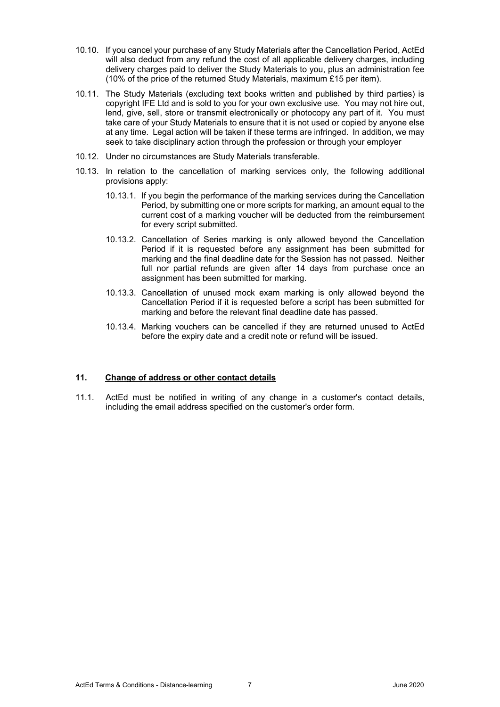- 10.10. If you cancel your purchase of any Study Materials after the Cancellation Period, ActEd will also deduct from any refund the cost of all applicable delivery charges, including delivery charges paid to deliver the Study Materials to you, plus an administration fee (10% of the price of the returned Study Materials, maximum £15 per item).
- 10.11. The Study Materials (excluding text books written and published by third parties) is copyright IFE Ltd and is sold to you for your own exclusive use. You may not hire out, lend, give, sell, store or transmit electronically or photocopy any part of it. You must take care of your Study Materials to ensure that it is not used or copied by anyone else at any time. Legal action will be taken if these terms are infringed. In addition, we may seek to take disciplinary action through the profession or through your employer
- 10.12. Under no circumstances are Study Materials transferable.
- 10.13. In relation to the cancellation of marking services only, the following additional provisions apply:
	- 10.13.1. If you begin the performance of the marking services during the Cancellation Period, by submitting one or more scripts for marking, an amount equal to the current cost of a marking voucher will be deducted from the reimbursement for every script submitted.
	- 10.13.2. Cancellation of Series marking is only allowed beyond the Cancellation Period if it is requested before any assignment has been submitted for marking and the final deadline date for the Session has not passed. Neither full nor partial refunds are given after 14 days from purchase once an assignment has been submitted for marking.
	- 10.13.3. Cancellation of unused mock exam marking is only allowed beyond the Cancellation Period if it is requested before a script has been submitted for marking and before the relevant final deadline date has passed.
	- 10.13.4. Marking vouchers can be cancelled if they are returned unused to ActEd before the expiry date and a credit note or refund will be issued.

#### **11. Change of address or other contact details**

11.1. ActEd must be notified in writing of any change in a customer's contact details, including the email address specified on the customer's order form.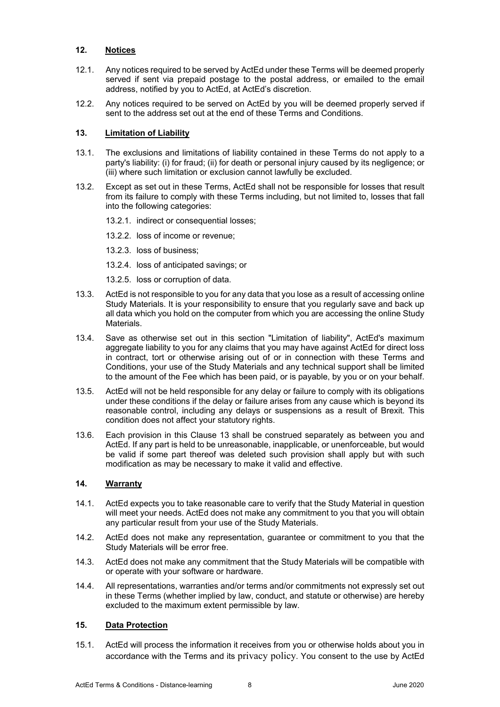## **12. Notices**

- 12.1. Any notices required to be served by ActEd under these Terms will be deemed properly served if sent via prepaid postage to the postal address, or emailed to the email address, notified by you to ActEd, at ActEd's discretion.
- 12.2. Any notices required to be served on ActEd by you will be deemed properly served if sent to the address set out at the end of these Terms and Conditions.

## **13. Limitation of Liability**

- 13.1. The exclusions and limitations of liability contained in these Terms do not apply to a party's liability: (i) for fraud; (ii) for death or personal injury caused by its negligence; or (iii) where such limitation or exclusion cannot lawfully be excluded.
- 13.2. Except as set out in these Terms, ActEd shall not be responsible for losses that result from its failure to comply with these Terms including, but not limited to, losses that fall into the following categories:
	- 13.2.1. indirect or consequential losses;
	- 13.2.2. loss of income or revenue;
	- 13.2.3. loss of business;
	- 13.2.4. loss of anticipated savings; or
	- 13.2.5. loss or corruption of data.
- 13.3. ActEd is not responsible to you for any data that you lose as a result of accessing online Study Materials. It is your responsibility to ensure that you regularly save and back up all data which you hold on the computer from which you are accessing the online Study Materials.
- 13.4. Save as otherwise set out in this section "Limitation of liability", ActEd's maximum aggregate liability to you for any claims that you may have against ActEd for direct loss in contract, tort or otherwise arising out of or in connection with these Terms and Conditions, your use of the Study Materials and any technical support shall be limited to the amount of the Fee which has been paid, or is payable, by you or on your behalf.
- 13.5. ActEd will not be held responsible for any delay or failure to comply with its obligations under these conditions if the delay or failure arises from any cause which is beyond its reasonable control, including any delays or suspensions as a result of Brexit. This condition does not affect your statutory rights.
- 13.6. Each provision in this Clause 13 shall be construed separately as between you and ActEd. If any part is held to be unreasonable, inapplicable, or unenforceable, but would be valid if some part thereof was deleted such provision shall apply but with such modification as may be necessary to make it valid and effective.

# **14. Warranty**

- 14.1. ActEd expects you to take reasonable care to verify that the Study Material in question will meet your needs. ActEd does not make any commitment to you that you will obtain any particular result from your use of the Study Materials.
- 14.2. ActEd does not make any representation, guarantee or commitment to you that the Study Materials will be error free.
- 14.3. ActEd does not make any commitment that the Study Materials will be compatible with or operate with your software or hardware.
- 14.4. All representations, warranties and/or terms and/or commitments not expressly set out in these Terms (whether implied by law, conduct, and statute or otherwise) are hereby excluded to the maximum extent permissible by law.

# **15. Data Protection**

15.1. ActEd will process the information it receives from you or otherwise holds about you in accordance with the Terms and its privacy policy. You consent to the use by ActEd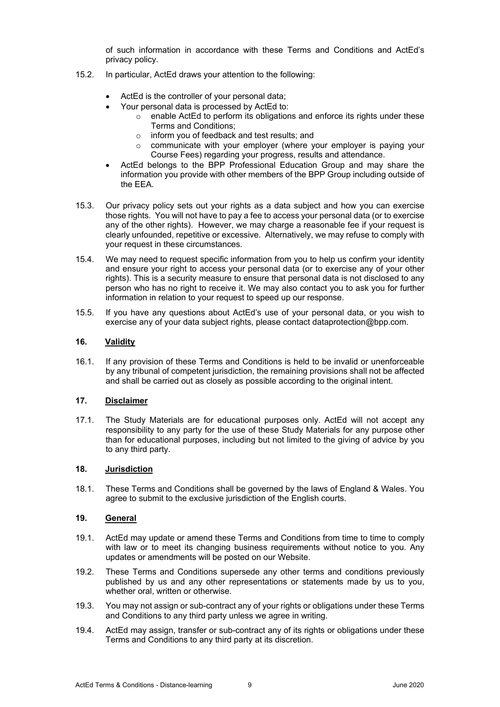of such information in accordance with these Terms and Conditions and ActEd's privacy policy.

- 15.2. In particular, ActEd draws your attention to the following:
	- ActEd is the controller of your personal data;
	- Your personal data is processed by ActEd to:
		- $\circ$  enable ActEd to perform its obligations and enforce its rights under these Terms and Conditions;
		- o inform you of feedback and test results; and
		- o communicate with your employer (where your employer is paying your Course Fees) regarding your progress, results and attendance.
	- ActEd belongs to the BPP Professional Education Group and may share the information you provide with other members of the BPP Group including outside of the EEA.
- 15.3. Our privacy policy sets out your rights as a data subject and how you can exercise those rights. You will not have to pay a fee to access your personal data (or to exercise any of the other rights). However, we may charge a reasonable fee if your request is clearly unfounded, repetitive or excessive. Alternatively, we may refuse to comply with your request in these circumstances.
- 15.4. We may need to request specific information from you to help us confirm your identity and ensure your right to access your personal data (or to exercise any of your other rights). This is a security measure to ensure that personal data is not disclosed to any person who has no right to receive it. We may also contact you to ask you for further information in relation to your request to speed up our response.
- 15.5. If you have any questions about ActEd's use of your personal data, or you wish to exercise any of your data subject rights, please contact dataprotection@bpp.com.

## **16. Validity**

16.1. If any provision of these Terms and Conditions is held to be invalid or unenforceable by any tribunal of competent jurisdiction, the remaining provisions shall not be affected and shall be carried out as closely as possible according to the original intent.

## **17. Disclaimer**

17.1. The Study Materials are for educational purposes only. ActEd will not accept any responsibility to any party for the use of these Study Materials for any purpose other than for educational purposes, including but not limited to the giving of advice by you to any third party.

## **18. Jurisdiction**

18.1. These Terms and Conditions shall be governed by the laws of England & Wales. You agree to submit to the exclusive jurisdiction of the English courts.

#### **19. General**

- 19.1. ActEd may update or amend these Terms and Conditions from time to time to comply with law or to meet its changing business requirements without notice to you. Any updates or amendments will be posted on our Website.
- 19.2. These Terms and Conditions supersede any other terms and conditions previously published by us and any other representations or statements made by us to you, whether oral, written or otherwise.
- 19.3. You may not assign or sub-contract any of your rights or obligations under these Terms and Conditions to any third party unless we agree in writing.
- 19.4. ActEd may assign, transfer or sub-contract any of its rights or obligations under these Terms and Conditions to any third party at its discretion.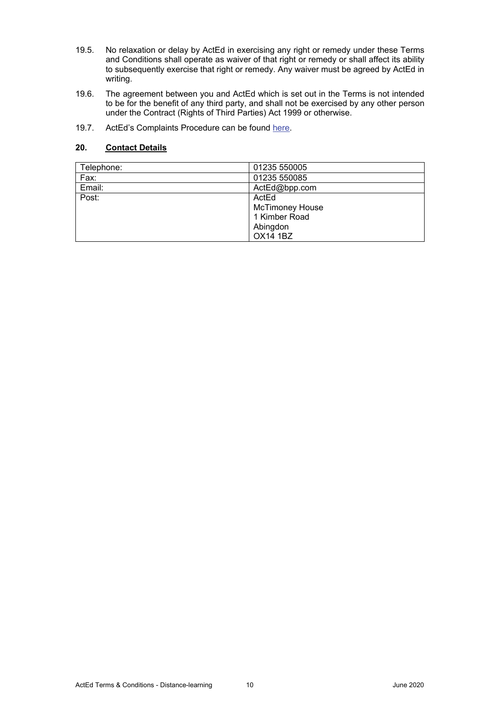- 19.5. No relaxation or delay by ActEd in exercising any right or remedy under these Terms and Conditions shall operate as waiver of that right or remedy or shall affect its ability to subsequently exercise that right or remedy. Any waiver must be agreed by ActEd in writing.
- 19.6. The agreement between you and ActEd which is set out in the Terms is not intended to be for the benefit of any third party, and shall not be exercised by any other person under the Contract (Rights of Third Parties) Act 1999 or otherwise.
- 19.7. ActEd's Complaints Procedure can be found here.

# **20. Contact Details**

| Telephone: | 01235 550005           |
|------------|------------------------|
| Fax:       | 01235 550085           |
| Email:     | ActEd@bpp.com          |
| Post:      | ActEd                  |
|            | <b>McTimoney House</b> |
|            | 1 Kimber Road          |
|            | Abingdon               |
|            | <b>OX14 1BZ</b>        |